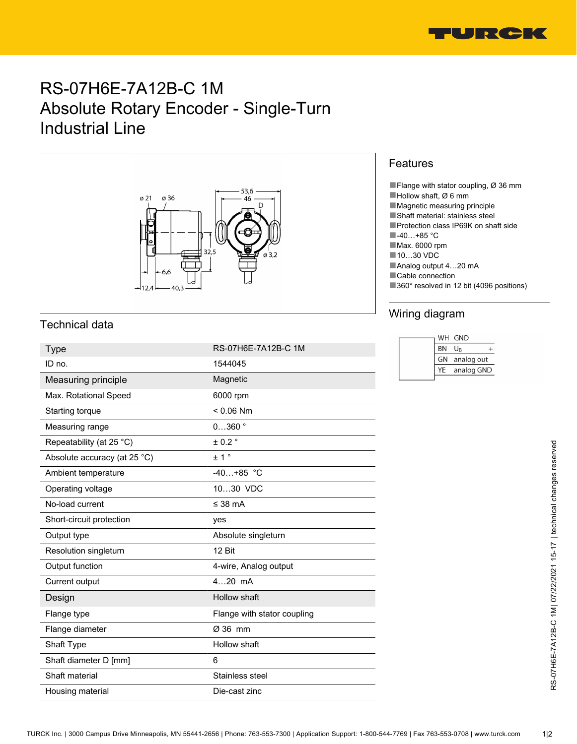

# RS-07H6E-7A12B-C 1M Absolute Rotary Encoder - Single-Turn Industrial Line



## Technical data

| <b>Type</b>                  | RS-07H6E-7A12B-C 1M         | <b>BN</b><br>$U_B$<br>$^{+}$         |
|------------------------------|-----------------------------|--------------------------------------|
| ID no.                       | 1544045                     | analog out<br>GN<br>YE<br>analog GND |
| Measuring principle          | Magnetic                    |                                      |
| Max. Rotational Speed        | 6000 rpm                    |                                      |
| Starting torque              | $< 0.06$ Nm                 |                                      |
| Measuring range              | $0360$ $^{\circ}$           |                                      |
| Repeatability (at 25 °C)     | $± 0.2$ °                   |                                      |
| Absolute accuracy (at 25 °C) | ± 1 <sup>°</sup>            |                                      |
| Ambient temperature          | $-40+85$ °C                 |                                      |
| Operating voltage            | 1030 VDC                    |                                      |
| No-load current              | ≤ 38 mA                     |                                      |
| Short-circuit protection     | yes                         |                                      |
| Output type                  | Absolute singleturn         |                                      |
| Resolution singleturn        | 12 Bit                      |                                      |
| Output function              | 4-wire, Analog output       |                                      |
| Current output               | 420 mA                      |                                      |
| Design                       | Hollow shaft                |                                      |
| Flange type                  | Flange with stator coupling |                                      |
| Flange diameter              | Ø 36 mm                     |                                      |
| Shaft Type                   | Hollow shaft                |                                      |
| Shaft diameter D [mm]        | 6                           |                                      |
| Shaft material               | Stainless steel             |                                      |
| Housing material             | Die-cast zinc               |                                      |

#### Features

■Flange with stator coupling,  $Ø$  36 mm

- ■Hollow shaft, Ø 6 mm
- ■Magnetic measuring principle
- ■Shaft material: stainless steel
- ■Protection class IP69K on shaft side
- ■-40…+85 °C
- ■Max. 6000 rpm
- ■10…30 VDC
- ■Analog output 4...20 mA
- ■Cable connection
- ■360° resolved in 12 bit (4096 positions)

### Wiring diagram

|           | WH GND     |
|-----------|------------|
| <b>BN</b> | Ur         |
| GN        | analog out |
| YF        | analog GND |
|           |            |